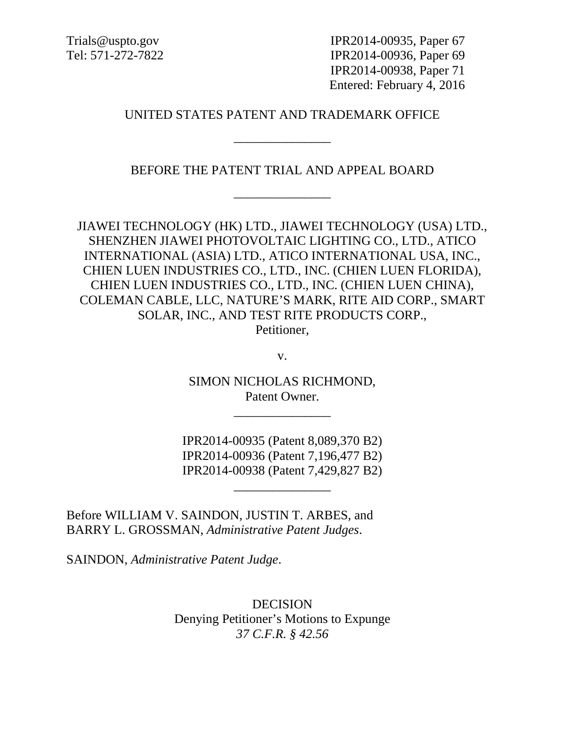Trials@uspto.gov IPR2014-00935, Paper 67 Tel: 571-272-7822 IPR2014-00936, Paper 69 IPR2014-00938, Paper 71 Entered: February 4, 2016

## UNITED STATES PATENT AND TRADEMARK OFFICE

\_\_\_\_\_\_\_\_\_\_\_\_\_\_\_

BEFORE THE PATENT TRIAL AND APPEAL BOARD

\_\_\_\_\_\_\_\_\_\_\_\_\_\_\_

JIAWEI TECHNOLOGY (HK) LTD., JIAWEI TECHNOLOGY (USA) LTD., SHENZHEN JIAWEI PHOTOVOLTAIC LIGHTING CO., LTD., ATICO INTERNATIONAL (ASIA) LTD., ATICO INTERNATIONAL USA, INC., CHIEN LUEN INDUSTRIES CO., LTD., INC. (CHIEN LUEN FLORIDA), CHIEN LUEN INDUSTRIES CO., LTD., INC. (CHIEN LUEN CHINA), COLEMAN CABLE, LLC, NATURE'S MARK, RITE AID CORP., SMART SOLAR, INC., AND TEST RITE PRODUCTS CORP., Petitioner,

v.

SIMON NICHOLAS RICHMOND, Patent Owner.

\_\_\_\_\_\_\_\_\_\_\_\_\_\_\_

IPR2014-00935 (Patent 8,089,370 B2) IPR2014-00936 (Patent 7,196,477 B2) IPR2014-00938 (Patent 7,429,827 B2)

\_\_\_\_\_\_\_\_\_\_\_\_\_\_\_

Before WILLIAM V. SAINDON, JUSTIN T. ARBES, and BARRY L. GROSSMAN, *Administrative Patent Judges*.

SAINDON, *Administrative Patent Judge*.

DECISION Denying Petitioner's Motions to Expunge *37 C.F.R. § 42.56*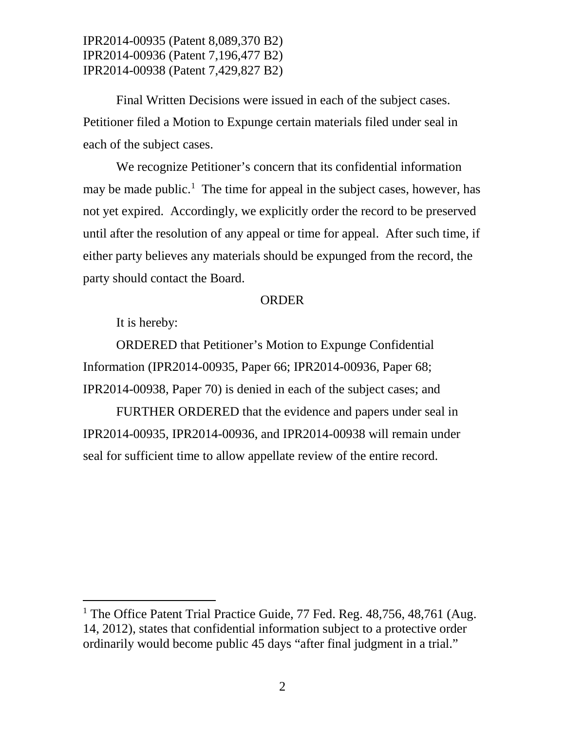IPR2014-00935 (Patent 8,089,370 B2) IPR2014-00936 (Patent 7,196,477 B2) IPR2014-00938 (Patent 7,429,827 B2)

Final Written Decisions were issued in each of the subject cases. Petitioner filed a Motion to Expunge certain materials filed under seal in each of the subject cases.

We recognize Petitioner's concern that its confidential information may be made public.<sup>[1](#page-1-0)</sup> The time for appeal in the subject cases, however, has not yet expired. Accordingly, we explicitly order the record to be preserved until after the resolution of any appeal or time for appeal. After such time, if either party believes any materials should be expunged from the record, the party should contact the Board.

## ORDER

It is hereby:

ORDERED that Petitioner's Motion to Expunge Confidential Information (IPR2014-00935, Paper 66; IPR2014-00936, Paper 68; IPR2014-00938, Paper 70) is denied in each of the subject cases; and

FURTHER ORDERED that the evidence and papers under seal in IPR2014-00935, IPR2014-00936, and IPR2014-00938 will remain under seal for sufficient time to allow appellate review of the entire record.

<span id="page-1-0"></span><sup>&</sup>lt;sup>1</sup> The Office Patent Trial Practice Guide, 77 Fed. Reg.  $48,756, 48,761$  (Aug. 14, 2012), states that confidential information subject to a protective order ordinarily would become public 45 days "after final judgment in a trial."